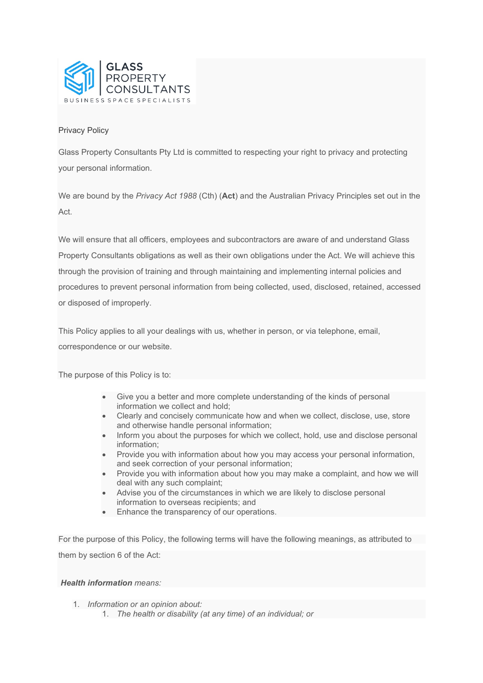

# Privacy Policy

Glass Property Consultants Pty Ltd is committed to respecting your right to privacy and protecting your personal information.

We are bound by the *Privacy Act 1988* (Cth) (**Act**) and the Australian Privacy Principles set out in the Act.

We will ensure that all officers, employees and subcontractors are aware of and understand Glass Property Consultants obligations as well as their own obligations under the Act. We will achieve this through the provision of training and through maintaining and implementing internal policies and procedures to prevent personal information from being collected, used, disclosed, retained, accessed or disposed of improperly.

This Policy applies to all your dealings with us, whether in person, or via telephone, email, correspondence or our website.

The purpose of this Policy is to:

- Give you a better and more complete understanding of the kinds of personal information we collect and hold;
- Clearly and concisely communicate how and when we collect, disclose, use, store and otherwise handle personal information;
- Inform you about the purposes for which we collect, hold, use and disclose personal information;
- Provide you with information about how you may access your personal information, and seek correction of your personal information;
- Provide you with information about how you may make a complaint, and how we will deal with any such complaint;
- Advise you of the circumstances in which we are likely to disclose personal information to overseas recipients; and
- Enhance the transparency of our operations.

For the purpose of this Policy, the following terms will have the following meanings, as attributed to them by section 6 of the Act:

## *Health information means:*

- 1. *Information or an opinion about:*
	- 1. *The health or disability (at any time) of an individual; or*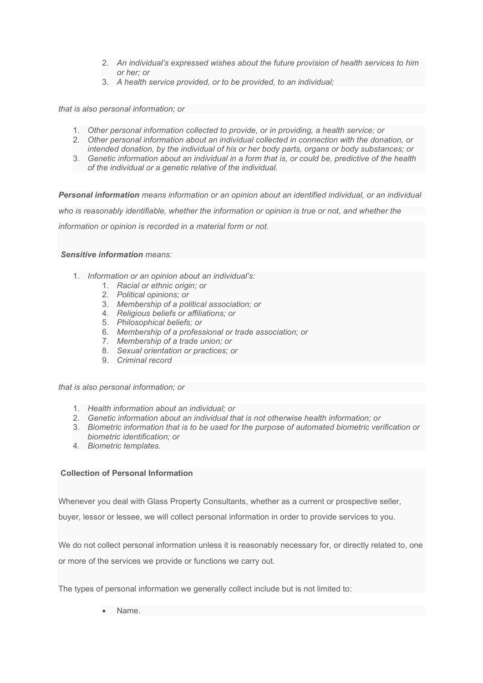- 2. *An individual's expressed wishes about the future provision of health services to him or her; or*
- 3. *A health service provided, or to be provided, to an individual;*

*that is also personal information; or*

- 1. *Other personal information collected to provide, or in providing, a health service; or*
- 2. *Other personal information about an individual collected in connection with the donation, or intended donation, by the individual of his or her body parts, organs or body substances; or*
- 3. *Genetic information about an individual in a form that is, or could be, predictive of the health of the individual or a genetic relative of the individual.*

*Personal information means information or an opinion about an identified individual, or an individual* 

*who is reasonably identifiable, whether the information or opinion is true or not, and whether the* 

*information or opinion is recorded in a material form or not.*

*Sensitive information means:*

- 1. *Information or an opinion about an individual's:*
	- 1. *Racial or ethnic origin; or*
	- 2. *Political opinions; or*
	- 3. *Membership of a political association; or*
	- 4. *Religious beliefs or affiliations; or*
	- 5. *Philosophical beliefs; or*
	- 6. *Membership of a professional or trade association; or*
	- 7. *Membership of a trade union; or*
	- 8. *Sexual orientation or practices; or*
	- 9. *Criminal record*

*that is also personal information; or*

- 1. *Health information about an individual; or*
- 2. *Genetic information about an individual that is not otherwise health information; or*
- 3. *Biometric information that is to be used for the purpose of automated biometric verification or biometric identification; or*
- 4. *Biometric templates.*

### **Collection of Personal Information**

Whenever you deal with Glass Property Consultants, whether as a current or prospective seller,

buyer, lessor or lessee, we will collect personal information in order to provide services to you.

We do not collect personal information unless it is reasonably necessary for, or directly related to, one or more of the services we provide or functions we carry out.

The types of personal information we generally collect include but is not limited to:

• Name.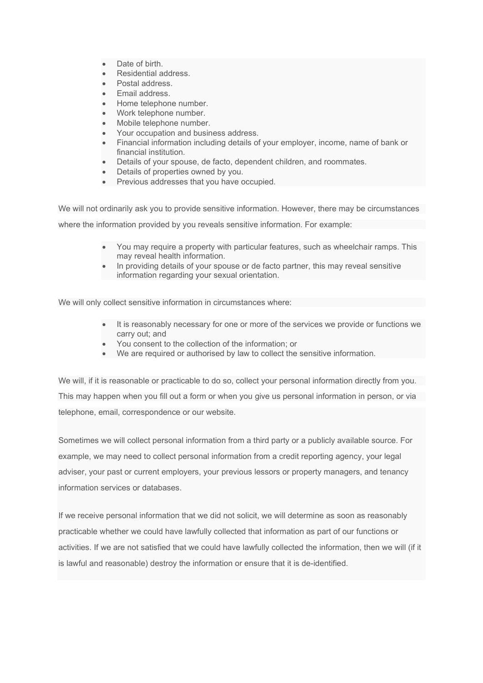- Date of birth.
- Residential address.
- Postal address.
- Email address.
- Home telephone number.
- Work telephone number.
- Mobile telephone number.
- Your occupation and business address.
- Financial information including details of your employer, income, name of bank or financial institution.
- Details of your spouse, de facto, dependent children, and roommates.
- Details of properties owned by you.
- Previous addresses that you have occupied.

We will not ordinarily ask you to provide sensitive information. However, there may be circumstances where the information provided by you reveals sensitive information. For example:

- You may require a property with particular features, such as wheelchair ramps. This may reveal health information.
- In providing details of your spouse or de facto partner, this may reveal sensitive information regarding your sexual orientation.

We will only collect sensitive information in circumstances where:

- It is reasonably necessary for one or more of the services we provide or functions we carry out; and
- You consent to the collection of the information; or
- We are required or authorised by law to collect the sensitive information.

We will, if it is reasonable or practicable to do so, collect your personal information directly from you. This may happen when you fill out a form or when you give us personal information in person, or via telephone, email, correspondence or our website.

Sometimes we will collect personal information from a third party or a publicly available source. For example, we may need to collect personal information from a credit reporting agency, your legal adviser, your past or current employers, your previous lessors or property managers, and tenancy information services or databases.

If we receive personal information that we did not solicit, we will determine as soon as reasonably practicable whether we could have lawfully collected that information as part of our functions or activities. If we are not satisfied that we could have lawfully collected the information, then we will (if it is lawful and reasonable) destroy the information or ensure that it is de-identified.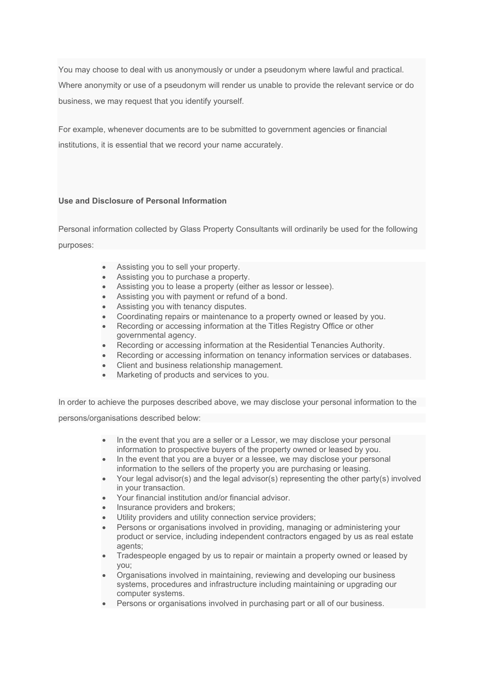You may choose to deal with us anonymously or under a pseudonym where lawful and practical. Where anonymity or use of a pseudonym will render us unable to provide the relevant service or do business, we may request that you identify yourself.

For example, whenever documents are to be submitted to government agencies or financial institutions, it is essential that we record your name accurately.

## **Use and Disclosure of Personal Information**

Personal information collected by Glass Property Consultants will ordinarily be used for the following purposes:

- Assisting you to sell your property.
- Assisting you to purchase a property.
- Assisting you to lease a property (either as lessor or lessee).
- Assisting you with payment or refund of a bond.
- Assisting you with tenancy disputes.
- Coordinating repairs or maintenance to a property owned or leased by you.
- Recording or accessing information at the Titles Registry Office or other governmental agency.
- Recording or accessing information at the Residential Tenancies Authority.
- Recording or accessing information on tenancy information services or databases.
- Client and business relationship management.
- Marketing of products and services to you.

In order to achieve the purposes described above, we may disclose your personal information to the

persons/organisations described below:

- In the event that you are a seller or a Lessor, we may disclose your personal information to prospective buyers of the property owned or leased by you.
- In the event that you are a buyer or a lessee, we may disclose your personal information to the sellers of the property you are purchasing or leasing.
- Your legal advisor(s) and the legal advisor(s) representing the other party(s) involved in your transaction.
- Your financial institution and/or financial advisor.
- Insurance providers and brokers;
- Utility providers and utility connection service providers;
- Persons or organisations involved in providing, managing or administering your product or service, including independent contractors engaged by us as real estate agents;
- Tradespeople engaged by us to repair or maintain a property owned or leased by you;
- Organisations involved in maintaining, reviewing and developing our business systems, procedures and infrastructure including maintaining or upgrading our computer systems.
- Persons or organisations involved in purchasing part or all of our business.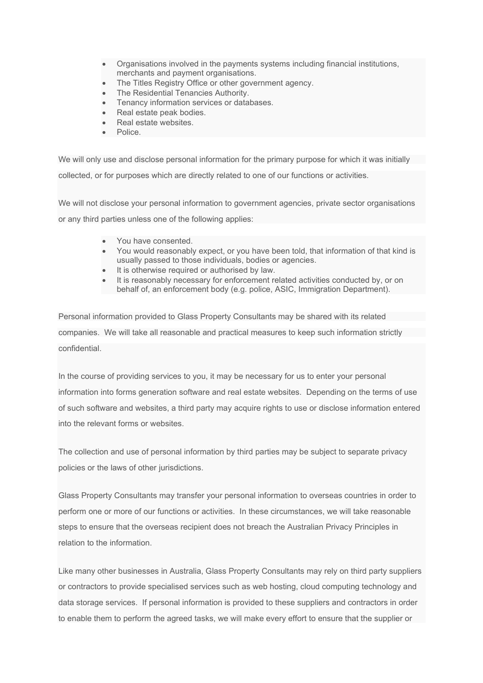- Organisations involved in the payments systems including financial institutions, merchants and payment organisations.
- The Titles Registry Office or other government agency.
- The Residential Tenancies Authority.
- Tenancy information services or databases.
- Real estate peak bodies.
- Real estate websites.
- Police.

We will only use and disclose personal information for the primary purpose for which it was initially collected, or for purposes which are directly related to one of our functions or activities.

We will not disclose your personal information to government agencies, private sector organisations or any third parties unless one of the following applies:

- You have consented.
- You would reasonably expect, or you have been told, that information of that kind is usually passed to those individuals, bodies or agencies.
- It is otherwise required or authorised by law.
- It is reasonably necessary for enforcement related activities conducted by, or on behalf of, an enforcement body (e.g. police, ASIC, Immigration Department).

Personal information provided to Glass Property Consultants may be shared with its related companies. We will take all reasonable and practical measures to keep such information strictly confidential.

In the course of providing services to you, it may be necessary for us to enter your personal information into forms generation software and real estate websites. Depending on the terms of use of such software and websites, a third party may acquire rights to use or disclose information entered into the relevant forms or websites.

The collection and use of personal information by third parties may be subject to separate privacy policies or the laws of other jurisdictions.

Glass Property Consultants may transfer your personal information to overseas countries in order to perform one or more of our functions or activities. In these circumstances, we will take reasonable steps to ensure that the overseas recipient does not breach the Australian Privacy Principles in relation to the information.

Like many other businesses in Australia, Glass Property Consultants may rely on third party suppliers or contractors to provide specialised services such as web hosting, cloud computing technology and data storage services. If personal information is provided to these suppliers and contractors in order to enable them to perform the agreed tasks, we will make every effort to ensure that the supplier or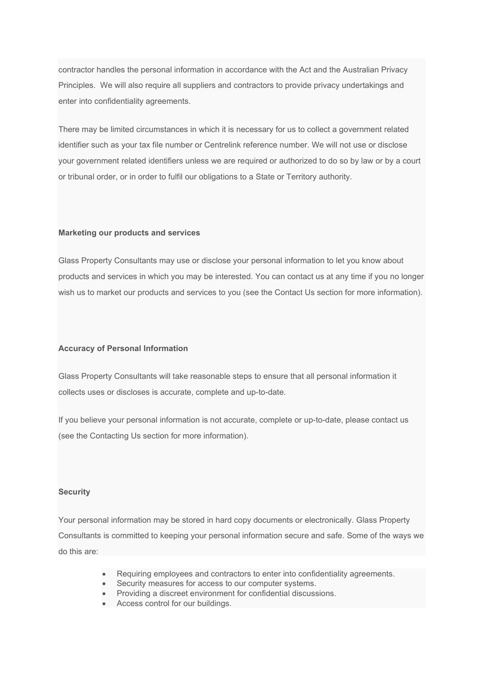contractor handles the personal information in accordance with the Act and the Australian Privacy Principles. We will also require all suppliers and contractors to provide privacy undertakings and enter into confidentiality agreements.

There may be limited circumstances in which it is necessary for us to collect a government related identifier such as your tax file number or Centrelink reference number. We will not use or disclose your government related identifiers unless we are required or authorized to do so by law or by a court or tribunal order, or in order to fulfil our obligations to a State or Territory authority.

### **Marketing our products and services**

Glass Property Consultants may use or disclose your personal information to let you know about products and services in which you may be interested. You can contact us at any time if you no longer wish us to market our products and services to you (see the Contact Us section for more information).

#### **Accuracy of Personal Information**

Glass Property Consultants will take reasonable steps to ensure that all personal information it collects uses or discloses is accurate, complete and up-to-date.

If you believe your personal information is not accurate, complete or up-to-date, please contact us (see the Contacting Us section for more information).

#### **Security**

Your personal information may be stored in hard copy documents or electronically. Glass Property Consultants is committed to keeping your personal information secure and safe. Some of the ways we do this are:

- Requiring employees and contractors to enter into confidentiality agreements.
- Security measures for access to our computer systems.
- Providing a discreet environment for confidential discussions.
- Access control for our buildings.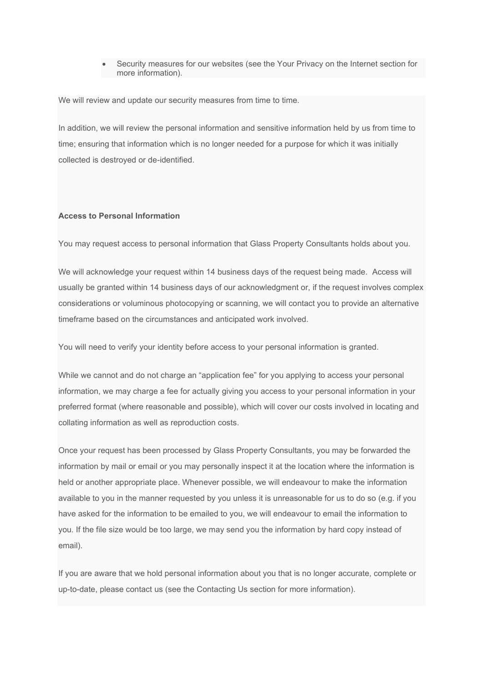• Security measures for our websites (see the Your Privacy on the Internet section for more information).

We will review and update our security measures from time to time.

In addition, we will review the personal information and sensitive information held by us from time to time; ensuring that information which is no longer needed for a purpose for which it was initially collected is destroyed or de-identified.

### **Access to Personal Information**

You may request access to personal information that Glass Property Consultants holds about you.

We will acknowledge your request within 14 business days of the request being made. Access will usually be granted within 14 business days of our acknowledgment or, if the request involves complex considerations or voluminous photocopying or scanning, we will contact you to provide an alternative timeframe based on the circumstances and anticipated work involved.

You will need to verify your identity before access to your personal information is granted.

While we cannot and do not charge an "application fee" for you applying to access your personal information, we may charge a fee for actually giving you access to your personal information in your preferred format (where reasonable and possible), which will cover our costs involved in locating and collating information as well as reproduction costs.

Once your request has been processed by Glass Property Consultants, you may be forwarded the information by mail or email or you may personally inspect it at the location where the information is held or another appropriate place. Whenever possible, we will endeavour to make the information available to you in the manner requested by you unless it is unreasonable for us to do so (e.g. if you have asked for the information to be emailed to you, we will endeavour to email the information to you. If the file size would be too large, we may send you the information by hard copy instead of email).

If you are aware that we hold personal information about you that is no longer accurate, complete or up-to-date, please contact us (see the Contacting Us section for more information).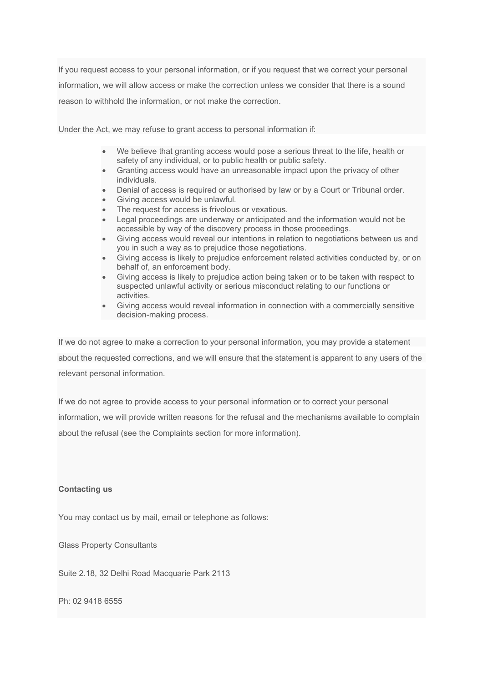If you request access to your personal information, or if you request that we correct your personal information, we will allow access or make the correction unless we consider that there is a sound reason to withhold the information, or not make the correction.

Under the Act, we may refuse to grant access to personal information if:

- We believe that granting access would pose a serious threat to the life, health or safety of any individual, or to public health or public safety.
- Granting access would have an unreasonable impact upon the privacy of other individuals.
- Denial of access is required or authorised by law or by a Court or Tribunal order.
- Giving access would be unlawful.
- The request for access is frivolous or vexatious.
- Legal proceedings are underway or anticipated and the information would not be accessible by way of the discovery process in those proceedings.
- Giving access would reveal our intentions in relation to negotiations between us and you in such a way as to prejudice those negotiations.
- Giving access is likely to prejudice enforcement related activities conducted by, or on behalf of, an enforcement body.
- Giving access is likely to prejudice action being taken or to be taken with respect to suspected unlawful activity or serious misconduct relating to our functions or activities.
- Giving access would reveal information in connection with a commercially sensitive decision-making process.

If we do not agree to make a correction to your personal information, you may provide a statement about the requested corrections, and we will ensure that the statement is apparent to any users of the relevant personal information.

If we do not agree to provide access to your personal information or to correct your personal information, we will provide written reasons for the refusal and the mechanisms available to complain about the refusal (see the Complaints section for more information).

## **Contacting us**

You may contact us by mail, email or telephone as follows:

Glass Property Consultants

Suite 2.18, 32 Delhi Road Macquarie Park 2113

Ph: 02 9418 6555